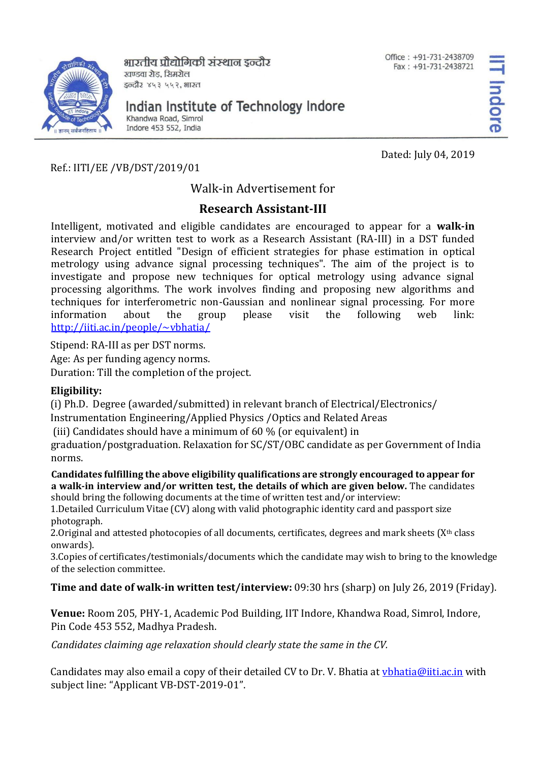

भारतीय प्रौद्योगिकी संस्थान डन्दौर खण्डवा रोड, सिमरोल इन्दौर ४५३ ५५२, भारत

Office: +91-731-2438709 Fax: +91-731-2438721

Indian Institute of Technology Indore

Khandwa Road, Simrol Indore 453 552, India

Dated: July 04, 2019

Ref.: IITI/EE /VB/DST/2019/01

Walk-in Advertisement for

## **Research Assistant-III**

Intelligent, motivated and eligible candidates are encouraged to appear for a **walk-in**  interview and/or written test to work as a Research Assistant (RA-III) in a DST funded Research Project entitled "Design of efficient strategies for phase estimation in optical metrology using advance signal processing techniques". The aim of the project is to investigate and propose new techniques for optical metrology using advance signal processing algorithms. The work involves finding and proposing new algorithms and techniques for interferometric non-Gaussian and nonlinear signal processing. For more information about the group please visit the following web link: <http://iiti.ac.in/people/~vbhatia/>

Stipend: RA-III as per DST norms.

Age: As per funding agency norms.

Duration: Till the completion of the project.

## **Eligibility:**

(i) Ph.D. Degree (awarded/submitted) in relevant branch of Electrical/Electronics/

Instrumentation Engineering/Applied Physics /Optics and Related Areas

(iii) Candidates should have a minimum of 60 % (or equivalent) in

graduation/postgraduation. Relaxation for SC/ST/OBC candidate as per Government of India norms.

## **Candidates fulfilling the above eligibility qualifications are strongly encouraged to appear for a walk-in interview and/or written test, the details of which are given below.** The candidates should bring the following documents at the time of written test and/or interview:

1.Detailed Curriculum Vitae (CV) along with valid photographic identity card and passport size photograph.

2. Original and attested photocopies of all documents, certificates, degrees and mark sheets  $(X<sup>th</sup>$  class onwards).

3.Copies of certificates/testimonials/documents which the candidate may wish to bring to the knowledge of the selection committee.

## **Time and date of walk-in written test/interview:** 09:30 hrs (sharp) on July 26, 2019 (Friday).

**Venue:** Room 205, PHY-1, Academic Pod Building, IIT Indore, Khandwa Road, Simrol, Indore, Pin Code 453 552, Madhya Pradesh.

*Candidates claiming age relaxation should clearly state the same in the CV.*

Candidates may also email a copy of their detailed CV to Dr. V. Bhatia at *ybhatia@iiti.ac.in* with subject line: "Applicant VB-DST-2019-01".